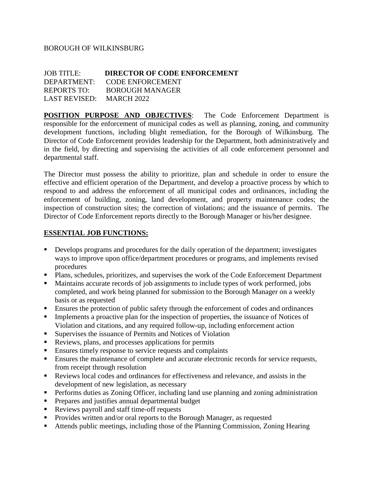## BOROUGH OF WILKINSBURG

| <b>JOB TITLE:</b>        | <b>DIRECTOR OF CODE ENFORCEMENT</b> |
|--------------------------|-------------------------------------|
|                          | DEPARTMENT: CODE ENFORCEMENT        |
| REPORTS TO:              | <b>BOROUGH MANAGER</b>              |
| LAST REVISED: MARCH 2022 |                                     |

**POSITION PURPOSE AND OBJECTIVES:** The Code Enforcement Department is responsible for the enforcement of municipal codes as well as planning, zoning, and community development functions, including blight remediation, for the Borough of Wilkinsburg. The Director of Code Enforcement provides leadership for the Department, both administratively and in the field, by directing and supervising the activities of all code enforcement personnel and departmental staff.

The Director must possess the ability to prioritize, plan and schedule in order to ensure the effective and efficient operation of the Department, and develop a proactive process by which to respond to and address the enforcement of all municipal codes and ordinances, including the enforcement of building, zoning, land development, and property maintenance codes; the inspection of construction sites; the correction of violations; and the issuance of permits. The Director of Code Enforcement reports directly to the Borough Manager or his/her designee.

#### **ESSENTIAL JOB FUNCTIONS:**

- Develops programs and procedures for the daily operation of the department; investigates ways to improve upon office/department procedures or programs, and implements revised procedures
- Plans, schedules, prioritizes, and supervises the work of the Code Enforcement Department
- Maintains accurate records of job assignments to include types of work performed, jobs completed, and work being planned for submission to the Borough Manager on a weekly basis or as requested
- Ensures the protection of public safety through the enforcement of codes and ordinances
- Implements a proactive plan for the inspection of properties, the issuance of Notices of Violation and citations, and any required follow-up, including enforcement action
- Supervises the issuance of Permits and Notices of Violation
- Reviews, plans, and processes applications for permits
- Ensures timely response to service requests and complaints
- Ensures the maintenance of complete and accurate electronic records for service requests, from receipt through resolution
- Reviews local codes and ordinances for effectiveness and relevance, and assists in the development of new legislation, as necessary
- Performs duties as Zoning Officer, including land use planning and zoning administration
- Prepares and justifies annual departmental budget
- Reviews payroll and staff time-off requests
- Provides written and/or oral reports to the Borough Manager, as requested
- Attends public meetings, including those of the Planning Commission, Zoning Hearing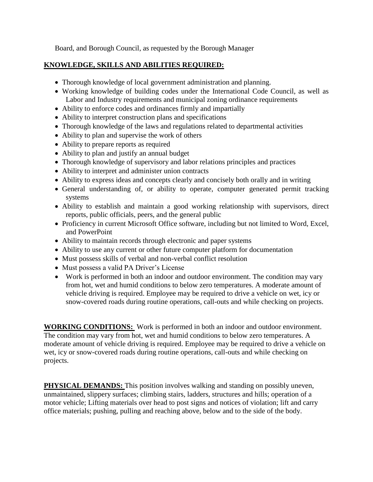Board, and Borough Council, as requested by the Borough Manager

# **KNOWLEDGE, SKILLS AND ABILITIES REQUIRED:**

- Thorough knowledge of local government administration and planning.
- Working knowledge of building codes under the International Code Council, as well as Labor and Industry requirements and municipal zoning ordinance requirements
- Ability to enforce codes and ordinances firmly and impartially
- Ability to interpret construction plans and specifications
- Thorough knowledge of the laws and regulations related to departmental activities
- Ability to plan and supervise the work of others
- Ability to prepare reports as required
- Ability to plan and justify an annual budget
- Thorough knowledge of supervisory and labor relations principles and practices
- Ability to interpret and administer union contracts
- Ability to express ideas and concepts clearly and concisely both orally and in writing
- General understanding of, or ability to operate, computer generated permit tracking systems
- Ability to establish and maintain a good working relationship with supervisors, direct reports, public officials, peers, and the general public
- Proficiency in current Microsoft Office software, including but not limited to Word, Excel, and PowerPoint
- Ability to maintain records through electronic and paper systems
- Ability to use any current or other future computer platform for documentation
- Must possess skills of verbal and non-verbal conflict resolution
- Must possess a valid PA Driver's License
- Work is performed in both an indoor and outdoor environment. The condition may vary from hot, wet and humid conditions to below zero temperatures. A moderate amount of vehicle driving is required. Employee may be required to drive a vehicle on wet, icy or snow-covered roads during routine operations, call-outs and while checking on projects.

**WORKING CONDITIONS:** Work is performed in both an indoor and outdoor environment. The condition may vary from hot, wet and humid conditions to below zero temperatures. A moderate amount of vehicle driving is required. Employee may be required to drive a vehicle on wet, icy or snow-covered roads during routine operations, call-outs and while checking on projects.

**PHYSICAL DEMANDS:** This position involves walking and standing on possibly uneven, unmaintained, slippery surfaces; climbing stairs, ladders, structures and hills; operation of a motor vehicle; Lifting materials over head to post signs and notices of violation; lift and carry office materials; pushing, pulling and reaching above, below and to the side of the body.